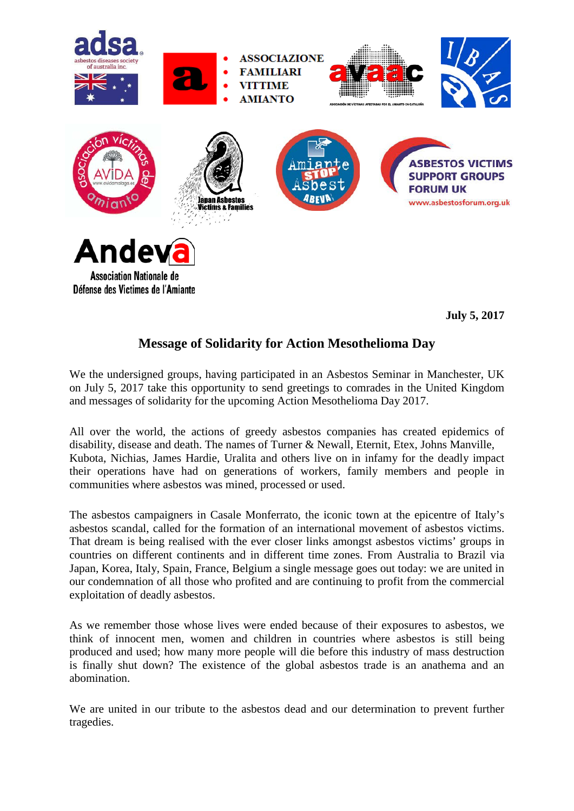

**July 5, 2017**

## **Message of Solidarity for Action Mesothelioma Day**

We the undersigned groups, having participated in an Asbestos Seminar in Manchester, UK on July 5, 2017 take this opportunity to send greetings to comrades in the United Kingdom and messages of solidarity for the upcoming Action Mesothelioma Day 2017.

All over the world, the actions of greedy asbestos companies has created epidemics of disability, disease and death. The names of Turner & Newall, Eternit, Etex, Johns Manville, Kubota, Nichias, James Hardie, Uralita and others live on in infamy for the deadly impact their operations have had on generations of workers, family members and people in communities where asbestos was mined, processed or used.

The asbestos campaigners in Casale Monferrato, the iconic town at the epicentre of Italy's asbestos scandal, called for the formation of an international movement of asbestos victims. That dream is being realised with the ever closer links amongst asbestos victims' groups in countries on different continents and in different time zones. From Australia to Brazil via Japan, Korea, Italy, Spain, France, Belgium a single message goes out today: we are united in our condemnation of all those who profited and are continuing to profit from the commercial exploitation of deadly asbestos.

As we remember those whose lives were ended because of their exposures to asbestos, we think of innocent men, women and children in countries where asbestos is still being produced and used; how many more people will die before this industry of mass destruction is finally shut down? The existence of the global asbestos trade is an anathema and an abomination.

We are united in our tribute to the asbestos dead and our determination to prevent further tragedies.